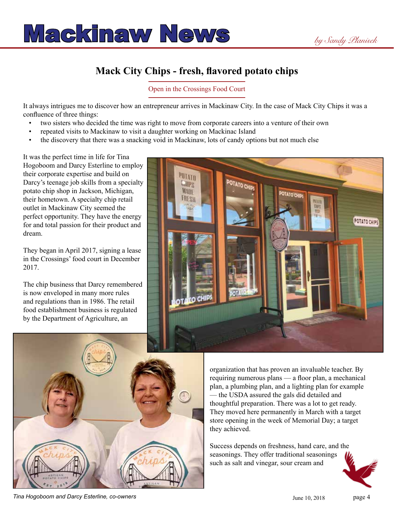

## **Mack City Chips - fresh, flavored potato chips**

Open in the Crossings Food Court

It always intrigues me to discover how an entrepreneur arrives in Mackinaw City. In the case of Mack City Chips it was a confluence of three things:

- two sisters who decided the time was right to move from corporate careers into a venture of their own
- repeated visits to Mackinaw to visit a daughter working on Mackinac Island
- the discovery that there was a snacking void in Mackinaw, lots of candy options but not much else

It was the perfect time in life for Tina Hogoboom and Darcy Esterline to employ their corporate expertise and build on Darcy's teenage job skills from a specialty potato chip shop in Jackson, Michigan, their hometown. A specialty chip retail outlet in Mackinaw City seemed the perfect opportunity. They have the energy for and total passion for their product and dream.

They began in April 2017, signing a lease in the Crossings' food court in December 2017.

The chip business that Darcy remembered is now enveloped in many more rules and regulations than in 1986. The retail food establishment business is regulated by the Department of Agriculture, an





organization that has proven an invaluable teacher. By requiring numerous plans — a floor plan, a mechanical plan, a plumbing plan, and a lighting plan for example — the USDA assured the gals did detailed and thoughtful preparation. There was a lot to get ready. They moved here permanently in March with a target store opening in the week of Memorial Day; a target they achieved.

Success depends on freshness, hand care, and the seasonings. They offer traditional seasonings such as salt and vinegar, sour cream and



**Tina Hogoboom and Darcy Esterline, co-owners June 10, 2018 page 4 June 10, 2018 page 4**